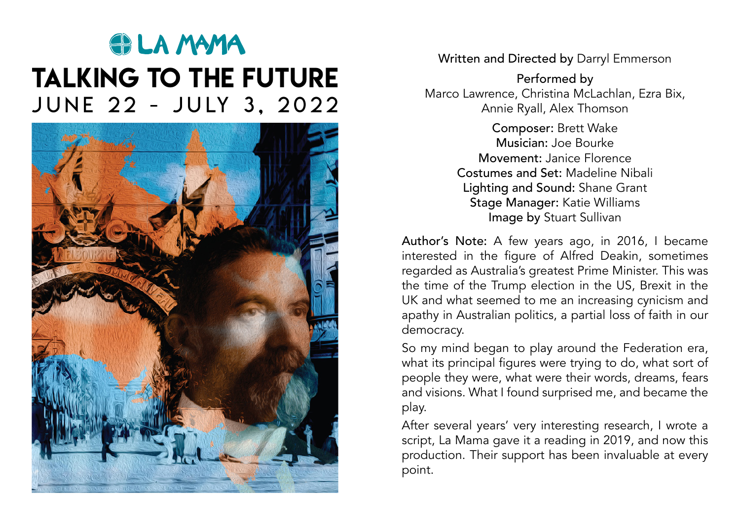# **SPLA MAMA** talking to the future JUNE 22 - JULY 3, 2022



Written and Directed by Darryl Emmerson

Performed by Marco Lawrence, Christina McLachlan, Ezra Bix, Annie Ryall, Alex Thomson

> Composer: Brett Wake Musician: Joe Bourke Movement: Janice Florence Costumes and Set: Madeline Nibali Lighting and Sound: Shane Grant Stage Manager: Katie Williams Image by Stuart Sullivan

Author's Note: A few years ago, in 2016, I became interested in the figure of Alfred Deakin, sometimes regarded as Australia's greatest Prime Minister. This was the time of the Trump election in the US, Brexit in the UK and what seemed to me an increasing cynicism and apathy in Australian politics, a partial loss of faith in our democracy.

So my mind began to play around the Federation era, what its principal figures were trying to do, what sort of people they were, what were their words, dreams, fears and visions. What I found surprised me, and became the play.

After several years' very interesting research, I wrote a script, La Mama gave it a reading in 2019, and now this production. Their support has been invaluable at every point.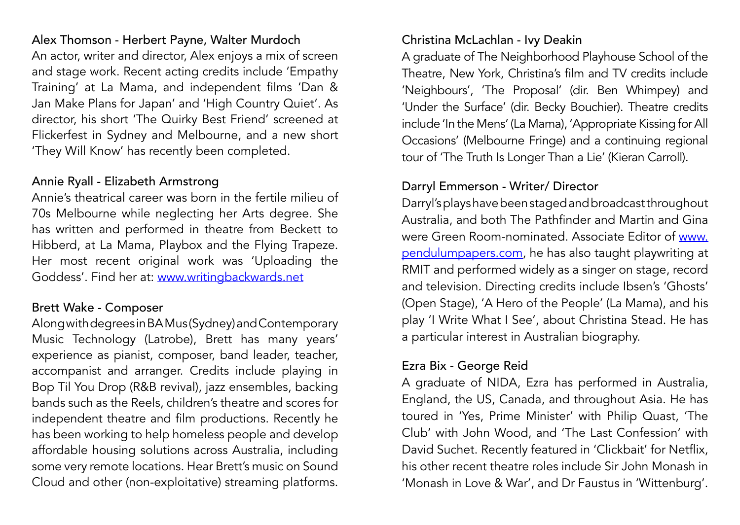Alex Thomson - Herbert Payne, Walter Murdoch An actor, writer and director, Alex enjoys a mix of screen and stage work. Recent acting credits include 'Empathy Training' at La Mama, and independent films 'Dan & Jan Make Plans for Japan' and 'High Country Quiet'. As director, his short 'The Quirky Best Friend' screened at Flickerfest in Sydney and Melbourne, and a new short 'They Will Know' has recently been completed.

# Annie Ryall - Elizabeth Armstrong

Annie's theatrical career was born in the fertile milieu of 70s Melbourne while neglecting her Arts degree. She has written and performed in theatre from Beckett to Hibberd, at La Mama, Playbox and the Flying Trapeze. Her most recent original work was 'Uploading the Goddess'. Find her at: [www.writingbackwards.net](http://www.writingbackwards.net)

# Brett Wake - Composer

Along with degrees in BA Mus (Sydney) and Contemporary Music Technology (Latrobe), Brett has many years' experience as pianist, composer, band leader, teacher, accompanist and arranger. Credits include playing in Bop Til You Drop (R&B revival), jazz ensembles, backing bands such as the Reels, children's theatre and scores for independent theatre and film productions. Recently he has been working to help homeless people and develop affordable housing solutions across Australia, including some very remote locations. Hear Brett's music on Sound Cloud and other (non-exploitative) streaming platforms.

# Christina McLachlan - Ivy Deakin

A graduate of The Neighborhood Playhouse School of the Theatre, New York, Christina's film and TV credits include 'Neighbours', 'The Proposal' (dir. Ben Whimpey) and 'Under the Surface' (dir. Becky Bouchier). Theatre credits include 'In the Mens' (La Mama), 'Appropriate Kissing for All Occasions' (Melbourne Fringe) and a continuing regional tour of 'The Truth Is Longer Than a Lie' (Kieran Carroll).

# Darryl Emmerson - Writer/ Director

Darryl's plays have been staged and broadcast throughout Australia, and both The Pathfinder and Martin and Gina were Green Room-nominated. Associate Editor of [www.](http://www.pendulumpapers.com) [pendulumpapers.com,](http://www.pendulumpapers.com) he has also taught playwriting at RMIT and performed widely as a singer on stage, record and television. Directing credits include Ibsen's 'Ghosts' (Open Stage), 'A Hero of the People' (La Mama), and his play 'I Write What I See', about Christina Stead. He has a particular interest in Australian biography.

## Ezra Bix - George Reid

A graduate of NIDA, Ezra has performed in Australia, England, the US, Canada, and throughout Asia. He has toured in 'Yes, Prime Minister' with Philip Quast, 'The Club' with John Wood, and 'The Last Confession' with David Suchet. Recently featured in 'Clickbait' for Netflix, his other recent theatre roles include Sir John Monash in 'Monash in Love & War', and Dr Faustus in 'Wittenburg'.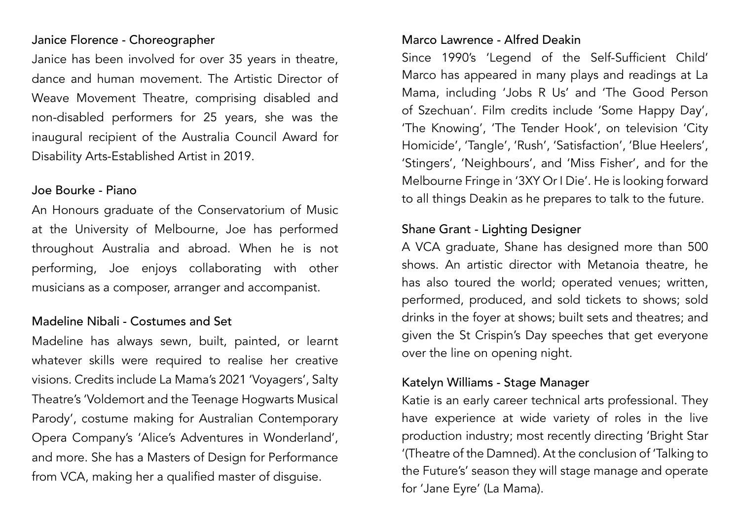#### Janice Florence - Choreographer

Janice has been involved for over 35 years in theatre, dance and human movement. The Artistic Director of Weave Movement Theatre, comprising disabled and non-disabled performers for 25 years, she was the inaugural recipient of the Australia Council Award for Disability Arts-Established Artist in 2019.

#### Joe Bourke - Piano

An Honours graduate of the Conservatorium of Music at the University of Melbourne, Joe has performed throughout Australia and abroad. When he is not performing, Joe enjoys collaborating with other musicians as a composer, arranger and accompanist.

# Madeline Nibali - Costumes and Set

Madeline has always sewn, built, painted, or learnt whatever skills were required to realise her creative visions. Credits include La Mama's 2021 'Voyagers', Salty Theatre's 'Voldemort and the Teenage Hogwarts Musical Parody', costume making for Australian Contemporary Opera Company's 'Alice's Adventures in Wonderland', and more. She has a Masters of Design for Performance from VCA, making her a qualified master of disguise.

#### Marco Lawrence - Alfred Deakin

Since 1990's 'Legend of the Self-Sufficient Child' Marco has appeared in many plays and readings at La Mama, including 'Jobs R Us' and 'The Good Person of Szechuan'. Film credits include 'Some Happy Day', 'The Knowing', 'The Tender Hook', on television 'City Homicide', 'Tangle', 'Rush', 'Satisfaction', 'Blue Heelers', 'Stingers', 'Neighbours', and 'Miss Fisher', and for the Melbourne Fringe in '3XY Or I Die'. He is looking forward to all things Deakin as he prepares to talk to the future.

# Shane Grant - Lighting Designer

A VCA graduate, Shane has designed more than 500 shows. An artistic director with Metanoia theatre, he has also toured the world; operated venues; written, performed, produced, and sold tickets to shows; sold drinks in the foyer at shows; built sets and theatres; and given the St Crispin's Day speeches that get everyone over the line on opening night.

## Katelyn Williams - Stage Manager

Katie is an early career technical arts professional. They have experience at wide variety of roles in the live production industry; most recently directing 'Bright Star '(Theatre of the Damned). At the conclusion of 'Talking to the Future's' season they will stage manage and operate for 'Jane Eyre' (La Mama).